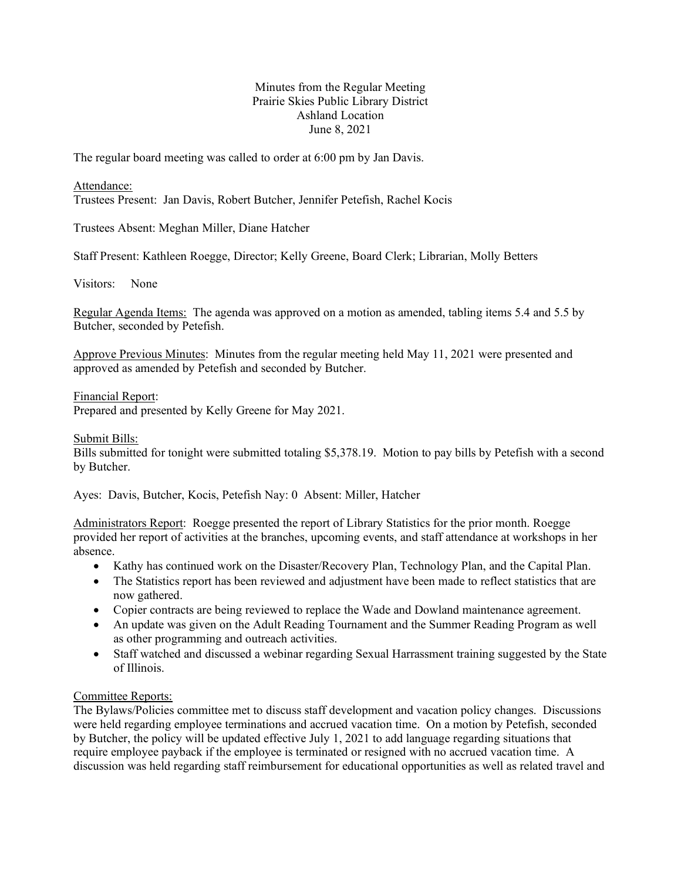# Minutes from the Regular Meeting Prairie Skies Public Library District Ashland Location June 8, 2021

The regular board meeting was called to order at 6:00 pm by Jan Davis.

Attendance:

Trustees Present: Jan Davis, Robert Butcher, Jennifer Petefish, Rachel Kocis

Trustees Absent: Meghan Miller, Diane Hatcher

Staff Present: Kathleen Roegge, Director; Kelly Greene, Board Clerk; Librarian, Molly Betters

Visitors: None

Regular Agenda Items: The agenda was approved on a motion as amended, tabling items 5.4 and 5.5 by Butcher, seconded by Petefish.

Approve Previous Minutes: Minutes from the regular meeting held May 11, 2021 were presented and approved as amended by Petefish and seconded by Butcher.

Financial Report:

Prepared and presented by Kelly Greene for May 2021.

Submit Bills:

Bills submitted for tonight were submitted totaling \$5,378.19. Motion to pay bills by Petefish with a second by Butcher.

Ayes: Davis, Butcher, Kocis, Petefish Nay: 0 Absent: Miller, Hatcher

Administrators Report: Roegge presented the report of Library Statistics for the prior month. Roegge provided her report of activities at the branches, upcoming events, and staff attendance at workshops in her absence.

- Kathy has continued work on the Disaster/Recovery Plan, Technology Plan, and the Capital Plan.
- The Statistics report has been reviewed and adjustment have been made to reflect statistics that are now gathered.
- Copier contracts are being reviewed to replace the Wade and Dowland maintenance agreement.
- An update was given on the Adult Reading Tournament and the Summer Reading Program as well as other programming and outreach activities.
- Staff watched and discussed a webinar regarding Sexual Harrassment training suggested by the State of Illinois.

# Committee Reports:

The Bylaws/Policies committee met to discuss staff development and vacation policy changes. Discussions were held regarding employee terminations and accrued vacation time. On a motion by Petefish, seconded by Butcher, the policy will be updated effective July 1, 2021 to add language regarding situations that require employee payback if the employee is terminated or resigned with no accrued vacation time. A discussion was held regarding staff reimbursement for educational opportunities as well as related travel and